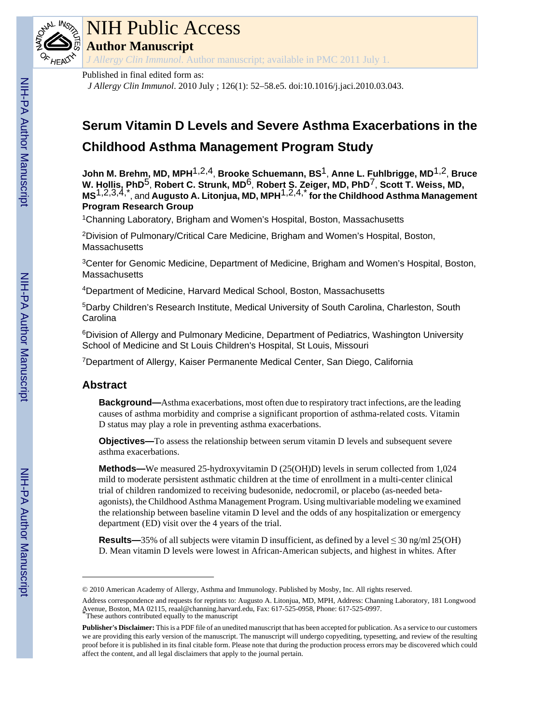

## NIH Public Access

**Author Manuscript**

*J Allergy Clin Immunol*. Author manuscript; available in PMC 2011 July 1.

#### Published in final edited form as:

*J Allergy Clin Immunol*. 2010 July ; 126(1): 52–58.e5. doi:10.1016/j.jaci.2010.03.043.

### **Serum Vitamin D Levels and Severe Asthma Exacerbations in the Childhood Asthma Management Program Study**

**John M. Brehm, MD, MPH**1,2,4, **Brooke Schuemann, BS**1, **Anne L. Fuhlbrigge, MD**1,2, **Bruce W. Hollis, PhD**5, **Robert C. Strunk, MD**6, **Robert S. Zeiger, MD, PhD**7, **Scott T. Weiss, MD, MS**1,2,3,4,\*, and **Augusto A. Litonjua, MD, MPH**1,2,4,\* **for the Childhood Asthma Management Program Research Group**

<sup>1</sup>Channing Laboratory, Brigham and Women's Hospital, Boston, Massachusetts

<sup>2</sup>Division of Pulmonary/Critical Care Medicine, Brigham and Women's Hospital, Boston, **Massachusetts** 

<sup>3</sup>Center for Genomic Medicine, Department of Medicine, Brigham and Women's Hospital, Boston, **Massachusetts** 

<sup>4</sup>Department of Medicine, Harvard Medical School, Boston, Massachusetts

<sup>5</sup>Darby Children's Research Institute, Medical University of South Carolina, Charleston, South **Carolina** 

<sup>6</sup>Division of Allergy and Pulmonary Medicine, Department of Pediatrics, Washington University School of Medicine and St Louis Children's Hospital, St Louis, Missouri

<sup>7</sup>Department of Allergy, Kaiser Permanente Medical Center, San Diego, California

#### **Abstract**

**Background—**Asthma exacerbations, most often due to respiratory tract infections, are the leading causes of asthma morbidity and comprise a significant proportion of asthma-related costs. Vitamin D status may play a role in preventing asthma exacerbations.

**Objectives—**To assess the relationship between serum vitamin D levels and subsequent severe asthma exacerbations.

**Methods—**We measured 25-hydroxyvitamin D (25(OH)D) levels in serum collected from 1,024 mild to moderate persistent asthmatic children at the time of enrollment in a multi-center clinical trial of children randomized to receiving budesonide, nedocromil, or placebo (as-needed betaagonists), the Childhood Asthma Management Program. Using multivariable modeling we examined the relationship between baseline vitamin D level and the odds of any hospitalization or emergency department (ED) visit over the 4 years of the trial.

**Results—**35% of all subjects were vitamin D insufficient, as defined by a level  $\leq$  30 ng/ml 25(OH) D. Mean vitamin D levels were lowest in African-American subjects, and highest in whites. After

<sup>© 2010</sup> American Academy of Allergy, Asthma and Immunology. Published by Mosby, Inc. All rights reserved.

Address correspondence and requests for reprints to: Augusto A. Litonjua, MD, MPH, Address: Channing Laboratory, 181 Longwood Avenue, Boston, MA 02115, reaal@channing.harvard.edu, Fax: 617-525-0958, Phone: 617-525-0997. \*These authors contributed equally to the manuscript

**Publisher's Disclaimer:** This is a PDF file of an unedited manuscript that has been accepted for publication. As a service to our customers we are providing this early version of the manuscript. The manuscript will undergo copyediting, typesetting, and review of the resulting proof before it is published in its final citable form. Please note that during the production process errors may be discovered which could affect the content, and all legal disclaimers that apply to the journal pertain.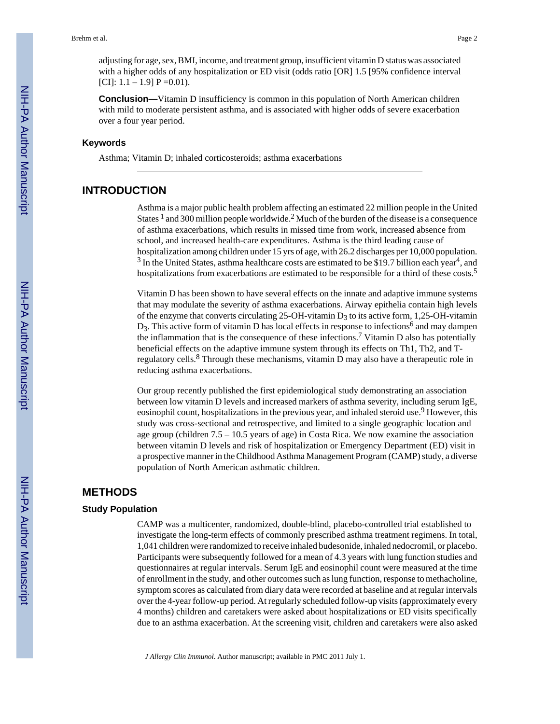adjusting for age, sex, BMI, income, and treatment group, insufficient vitamin D status was associated with a higher odds of any hospitalization or ED visit (odds ratio [OR] 1.5 [95% confidence interval  $[CI]: 1.1 - 1.9] P = 0.01$ .

**Conclusion—**Vitamin D insufficiency is common in this population of North American children with mild to moderate persistent asthma, and is associated with higher odds of severe exacerbation over a four year period.

#### **Keywords**

Asthma; Vitamin D; inhaled corticosteroids; asthma exacerbations

#### **INTRODUCTION**

Asthma is a major public health problem affecting an estimated 22 million people in the United States  $<sup>1</sup>$  and 300 million people worldwide.<sup>2</sup> Much of the burden of the disease is a consequence</sup> of asthma exacerbations, which results in missed time from work, increased absence from school, and increased health-care expenditures. Asthma is the third leading cause of hospitalization among children under 15 yrs of age, with 26.2 discharges per 10,000 population.  $3$  In the United States, asthma healthcare costs are estimated to be \$19.7 billion each year<sup>4</sup>, and hospitalizations from exacerbations are estimated to be responsible for a third of these costs.<sup>5</sup>

Vitamin D has been shown to have several effects on the innate and adaptive immune systems that may modulate the severity of asthma exacerbations. Airway epithelia contain high levels of the enzyme that converts circulating 25-OH-vitamin  $D_3$  to its active form, 1,25-OH-vitamin  $D_3$ . This active form of vitamin D has local effects in response to infections<sup>6</sup> and may dampen the inflammation that is the consequence of these infections.<sup>7</sup> Vitamin D also has potentially beneficial effects on the adaptive immune system through its effects on Th1, Th2, and Tregulatory cells.<sup>8</sup> Through these mechanisms, vitamin D may also have a therapeutic role in reducing asthma exacerbations.

Our group recently published the first epidemiological study demonstrating an association between low vitamin D levels and increased markers of asthma severity, including serum IgE, eosinophil count, hospitalizations in the previous year, and inhaled steroid use.<sup>9</sup> However, this study was cross-sectional and retrospective, and limited to a single geographic location and age group (children 7.5 – 10.5 years of age) in Costa Rica. We now examine the association between vitamin D levels and risk of hospitalization or Emergency Department (ED) visit in a prospective manner in the Childhood Asthma Management Program (CAMP) study, a diverse population of North American asthmatic children.

#### **METHODS**

#### **Study Population**

CAMP was a multicenter, randomized, double-blind, placebo-controlled trial established to investigate the long-term effects of commonly prescribed asthma treatment regimens. In total, 1,041 children were randomized to receive inhaled budesonide, inhaled nedocromil, or placebo. Participants were subsequently followed for a mean of 4.3 years with lung function studies and questionnaires at regular intervals. Serum IgE and eosinophil count were measured at the time of enrollment in the study, and other outcomes such as lung function, response to methacholine, symptom scores as calculated from diary data were recorded at baseline and at regular intervals over the 4-year follow-up period. At regularly scheduled follow-up visits (approximately every 4 months) children and caretakers were asked about hospitalizations or ED visits specifically due to an asthma exacerbation. At the screening visit, children and caretakers were also asked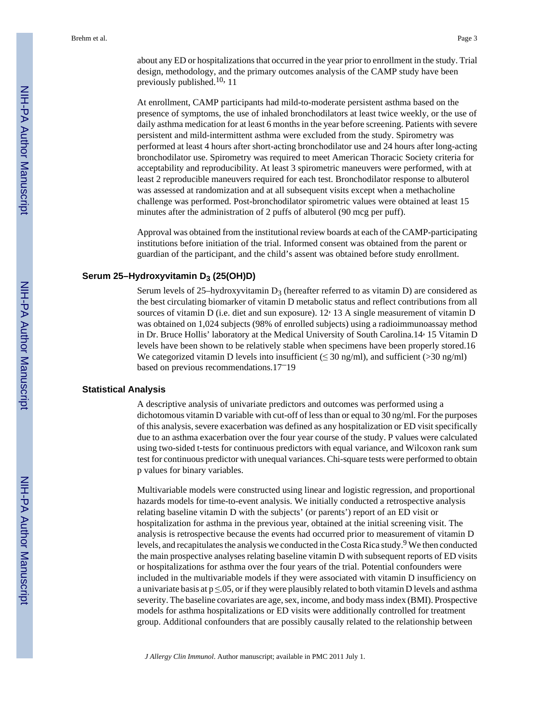about any ED or hospitalizations that occurred in the year prior to enrollment in the study. Trial design, methodology, and the primary outcomes analysis of the CAMP study have been previously published.<sup>10,</sup> 11

At enrollment, CAMP participants had mild-to-moderate persistent asthma based on the presence of symptoms, the use of inhaled bronchodilators at least twice weekly, or the use of daily asthma medication for at least 6 months in the year before screening. Patients with severe persistent and mild-intermittent asthma were excluded from the study. Spirometry was performed at least 4 hours after short-acting bronchodilator use and 24 hours after long-acting bronchodilator use. Spirometry was required to meet American Thoracic Society criteria for acceptability and reproducibility. At least 3 spirometric maneuvers were performed, with at least 2 reproducible maneuvers required for each test. Bronchodilator response to albuterol was assessed at randomization and at all subsequent visits except when a methacholine challenge was performed. Post-bronchodilator spirometric values were obtained at least 15 minutes after the administration of 2 puffs of albuterol (90 mcg per puff).

Approval was obtained from the institutional review boards at each of the CAMP-participating institutions before initiation of the trial. Informed consent was obtained from the parent or guardian of the participant, and the child's assent was obtained before study enrollment.

#### **Serum 25–Hydroxyvitamin D3 (25(OH)D)**

Serum levels of 25–hydroxyvitamin  $D_3$  (hereafter referred to as vitamin D) are considered as the best circulating biomarker of vitamin D metabolic status and reflect contributions from all sources of vitamin D (i.e. diet and sun exposure). 12, 13 A single measurement of vitamin D was obtained on 1,024 subjects (98% of enrolled subjects) using a radioimmunoassay method in Dr. Bruce Hollis' laboratory at the Medical University of South Carolina.14, 15 Vitamin D levels have been shown to be relatively stable when specimens have been properly stored.16 We categorized vitamin D levels into insufficient ( $\leq$  30 ng/ml), and sufficient ( $>$  30 ng/ml) based on previous recommendations.17–19

#### **Statistical Analysis**

A descriptive analysis of univariate predictors and outcomes was performed using a dichotomous vitamin D variable with cut-off of less than or equal to 30 ng/ml. For the purposes of this analysis, severe exacerbation was defined as any hospitalization or ED visit specifically due to an asthma exacerbation over the four year course of the study. P values were calculated using two-sided t-tests for continuous predictors with equal variance, and Wilcoxon rank sum test for continuous predictor with unequal variances. Chi-square tests were performed to obtain p values for binary variables.

Multivariable models were constructed using linear and logistic regression, and proportional hazards models for time-to-event analysis. We initially conducted a retrospective analysis relating baseline vitamin D with the subjects' (or parents') report of an ED visit or hospitalization for asthma in the previous year, obtained at the initial screening visit. The analysis is retrospective because the events had occurred prior to measurement of vitamin D levels, and recapitulates the analysis we conducted in the Costa Rica study.<sup>9</sup> We then conducted the main prospective analyses relating baseline vitamin D with subsequent reports of ED visits or hospitalizations for asthma over the four years of the trial. Potential confounders were included in the multivariable models if they were associated with vitamin D insufficiency on a univariate basis at  $p \le 0.05$ , or if they were plausibly related to both vitamin D levels and asthma severity. The baseline covariates are age, sex, income, and body mass index (BMI). Prospective models for asthma hospitalizations or ED visits were additionally controlled for treatment group. Additional confounders that are possibly causally related to the relationship between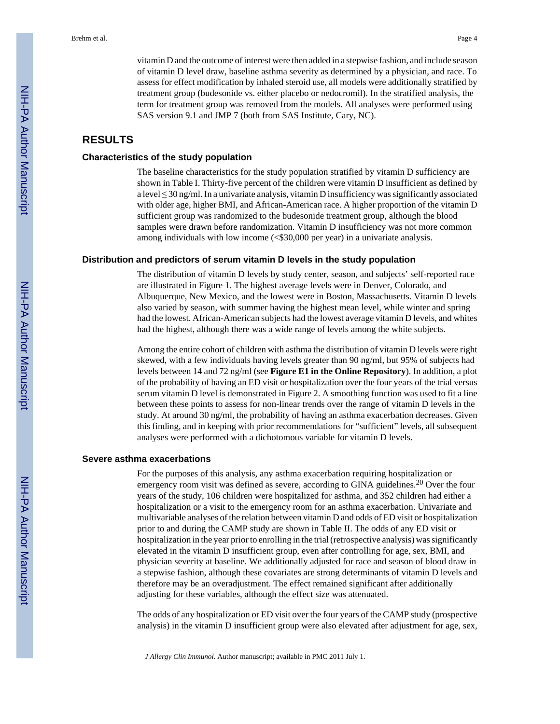vitamin D and the outcome of interest were then added in a stepwise fashion, and include season of vitamin D level draw, baseline asthma severity as determined by a physician, and race. To assess for effect modification by inhaled steroid use, all models were additionally stratified by treatment group (budesonide vs. either placebo or nedocromil). In the stratified analysis, the term for treatment group was removed from the models. All analyses were performed using SAS version 9.1 and JMP 7 (both from SAS Institute, Cary, NC).

#### **RESULTS**

#### **Characteristics of the study population**

The baseline characteristics for the study population stratified by vitamin D sufficiency are shown in Table I. Thirty-five percent of the children were vitamin D insufficient as defined by a level  $\leq$  30 ng/ml. In a univariate analysis, vitamin D insufficiency was significantly associated with older age, higher BMI, and African-American race. A higher proportion of the vitamin D sufficient group was randomized to the budesonide treatment group, although the blood samples were drawn before randomization. Vitamin D insufficiency was not more common among individuals with low income (<\$30,000 per year) in a univariate analysis.

#### **Distribution and predictors of serum vitamin D levels in the study population**

The distribution of vitamin D levels by study center, season, and subjects' self-reported race are illustrated in Figure 1. The highest average levels were in Denver, Colorado, and Albuquerque, New Mexico, and the lowest were in Boston, Massachusetts. Vitamin D levels also varied by season, with summer having the highest mean level, while winter and spring had the lowest. African-American subjects had the lowest average vitamin D levels, and whites had the highest, although there was a wide range of levels among the white subjects.

Among the entire cohort of children with asthma the distribution of vitamin D levels were right skewed, with a few individuals having levels greater than 90 ng/ml, but 95% of subjects had levels between 14 and 72 ng/ml (see **Figure E1 in the Online Repository**). In addition, a plot of the probability of having an ED visit or hospitalization over the four years of the trial versus serum vitamin D level is demonstrated in Figure 2. A smoothing function was used to fit a line between these points to assess for non-linear trends over the range of vitamin D levels in the study. At around 30 ng/ml, the probability of having an asthma exacerbation decreases. Given this finding, and in keeping with prior recommendations for "sufficient" levels, all subsequent analyses were performed with a dichotomous variable for vitamin D levels.

#### **Severe asthma exacerbations**

For the purposes of this analysis, any asthma exacerbation requiring hospitalization or emergency room visit was defined as severe, according to GINA guidelines.<sup>20</sup> Over the four years of the study, 106 children were hospitalized for asthma, and 352 children had either a hospitalization or a visit to the emergency room for an asthma exacerbation. Univariate and multivariable analyses of the relation between vitamin D and odds of ED visit or hospitalization prior to and during the CAMP study are shown in Table II. The odds of any ED visit or hospitalization in the year prior to enrolling in the trial (retrospective analysis) was significantly elevated in the vitamin D insufficient group, even after controlling for age, sex, BMI, and physician severity at baseline. We additionally adjusted for race and season of blood draw in a stepwise fashion, although these covariates are strong determinants of vitamin D levels and therefore may be an overadjustment. The effect remained significant after additionally adjusting for these variables, although the effect size was attenuated.

The odds of any hospitalization or ED visit over the four years of the CAMP study (prospective analysis) in the vitamin D insufficient group were also elevated after adjustment for age, sex,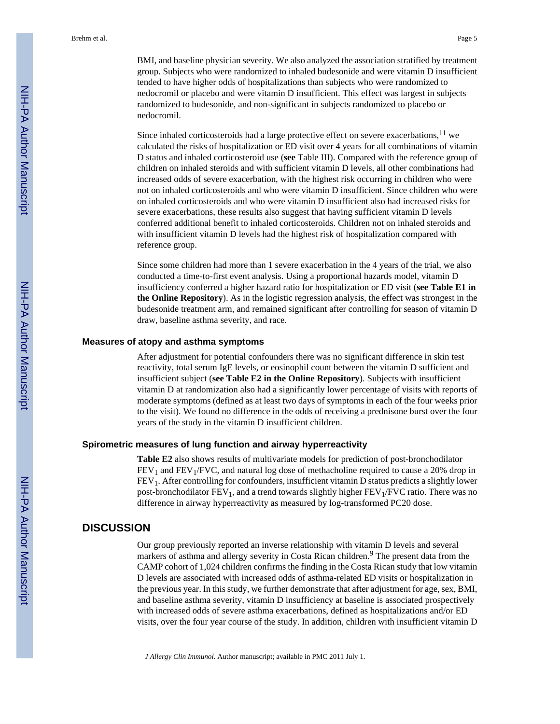BMI, and baseline physician severity. We also analyzed the association stratified by treatment group. Subjects who were randomized to inhaled budesonide and were vitamin D insufficient tended to have higher odds of hospitalizations than subjects who were randomized to nedocromil or placebo and were vitamin D insufficient. This effect was largest in subjects randomized to budesonide, and non-significant in subjects randomized to placebo or nedocromil.

Since inhaled corticosteroids had a large protective effect on severe exacerbations, $11$  we calculated the risks of hospitalization or ED visit over 4 years for all combinations of vitamin D status and inhaled corticosteroid use (**see** Table III). Compared with the reference group of children on inhaled steroids and with sufficient vitamin D levels, all other combinations had increased odds of severe exacerbation, with the highest risk occurring in children who were not on inhaled corticosteroids and who were vitamin D insufficient. Since children who were on inhaled corticosteroids and who were vitamin D insufficient also had increased risks for severe exacerbations, these results also suggest that having sufficient vitamin D levels conferred additional benefit to inhaled corticosteroids. Children not on inhaled steroids and with insufficient vitamin D levels had the highest risk of hospitalization compared with reference group.

Since some children had more than 1 severe exacerbation in the 4 years of the trial, we also conducted a time-to-first event analysis. Using a proportional hazards model, vitamin D insufficiency conferred a higher hazard ratio for hospitalization or ED visit (**see Table E1 in the Online Repository**). As in the logistic regression analysis, the effect was strongest in the budesonide treatment arm, and remained significant after controlling for season of vitamin D draw, baseline asthma severity, and race.

#### **Measures of atopy and asthma symptoms**

After adjustment for potential confounders there was no significant difference in skin test reactivity, total serum IgE levels, or eosinophil count between the vitamin D sufficient and insufficient subject (**see Table E2 in the Online Repository**). Subjects with insufficient vitamin D at randomization also had a significantly lower percentage of visits with reports of moderate symptoms (defined as at least two days of symptoms in each of the four weeks prior to the visit). We found no difference in the odds of receiving a prednisone burst over the four years of the study in the vitamin D insufficient children.

#### **Spirometric measures of lung function and airway hyperreactivity**

**Table E2** also shows results of multivariate models for prediction of post-bronchodilator  $FEV<sub>1</sub>$  and  $FEV<sub>1</sub>/FVC$ , and natural log dose of methacholine required to cause a 20% drop in FEV1. After controlling for confounders, insufficient vitamin D status predicts a slightly lower post-bronchodilator  $FEV_1$ , and a trend towards slightly higher  $FEV_1/FVC$  ratio. There was no difference in airway hyperreactivity as measured by log-transformed PC20 dose.

#### **DISCUSSION**

Our group previously reported an inverse relationship with vitamin D levels and several markers of asthma and allergy severity in Costa Rican children.<sup>9</sup> The present data from the CAMP cohort of 1,024 children confirms the finding in the Costa Rican study that low vitamin D levels are associated with increased odds of asthma-related ED visits or hospitalization in the previous year. In this study, we further demonstrate that after adjustment for age, sex, BMI, and baseline asthma severity, vitamin D insufficiency at baseline is associated prospectively with increased odds of severe asthma exacerbations, defined as hospitalizations and/or ED visits, over the four year course of the study. In addition, children with insufficient vitamin D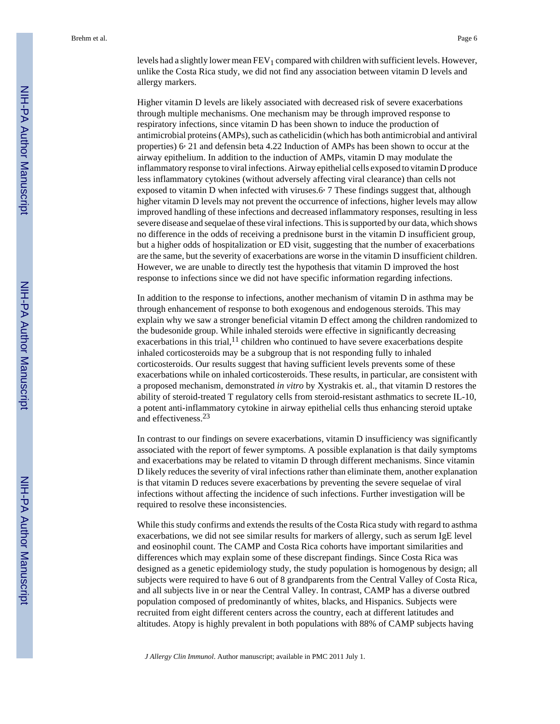levels had a slightly lower mean  $FEV_1$  compared with children with sufficient levels. However, unlike the Costa Rica study, we did not find any association between vitamin D levels and allergy markers.

Higher vitamin D levels are likely associated with decreased risk of severe exacerbations through multiple mechanisms. One mechanism may be through improved response to respiratory infections, since vitamin D has been shown to induce the production of antimicrobial proteins (AMPs), such as cathelicidin (which has both antimicrobial and antiviral properties) 6, 21 and defensin beta 4.22 Induction of AMPs has been shown to occur at the airway epithelium. In addition to the induction of AMPs, vitamin D may modulate the inflammatory response to viral infections. Airway epithelial cells exposed to vitamin D produce less inflammatory cytokines (without adversely affecting viral clearance) than cells not exposed to vitamin D when infected with viruses.6, 7 These findings suggest that, although higher vitamin D levels may not prevent the occurrence of infections, higher levels may allow improved handling of these infections and decreased inflammatory responses, resulting in less severe disease and sequelae of these viral infections. This is supported by our data, which shows no difference in the odds of receiving a prednisone burst in the vitamin D insufficient group, but a higher odds of hospitalization or ED visit, suggesting that the number of exacerbations are the same, but the severity of exacerbations are worse in the vitamin D insufficient children. However, we are unable to directly test the hypothesis that vitamin D improved the host response to infections since we did not have specific information regarding infections.

In addition to the response to infections, another mechanism of vitamin D in asthma may be through enhancement of response to both exogenous and endogenous steroids. This may explain why we saw a stronger beneficial vitamin D effect among the children randomized to the budesonide group. While inhaled steroids were effective in significantly decreasing exacerbations in this trial,<sup>11</sup> children who continued to have severe exacerbations despite inhaled corticosteroids may be a subgroup that is not responding fully to inhaled corticosteroids. Our results suggest that having sufficient levels prevents some of these exacerbations while on inhaled corticosteroids. These results, in particular, are consistent with a proposed mechanism, demonstrated *in vitro* by Xystrakis et. al., that vitamin D restores the ability of steroid-treated T regulatory cells from steroid-resistant asthmatics to secrete IL-10, a potent anti-inflammatory cytokine in airway epithelial cells thus enhancing steroid uptake and effectiveness.<sup>23</sup>

In contrast to our findings on severe exacerbations, vitamin D insufficiency was significantly associated with the report of fewer symptoms. A possible explanation is that daily symptoms and exacerbations may be related to vitamin D through different mechanisms. Since vitamin D likely reduces the severity of viral infections rather than eliminate them, another explanation is that vitamin D reduces severe exacerbations by preventing the severe sequelae of viral infections without affecting the incidence of such infections. Further investigation will be required to resolve these inconsistencies.

While this study confirms and extends the results of the Costa Rica study with regard to asthma exacerbations, we did not see similar results for markers of allergy, such as serum IgE level and eosinophil count. The CAMP and Costa Rica cohorts have important similarities and differences which may explain some of these discrepant findings. Since Costa Rica was designed as a genetic epidemiology study, the study population is homogenous by design; all subjects were required to have 6 out of 8 grandparents from the Central Valley of Costa Rica, and all subjects live in or near the Central Valley. In contrast, CAMP has a diverse outbred population composed of predominantly of whites, blacks, and Hispanics. Subjects were recruited from eight different centers across the country, each at different latitudes and altitudes. Atopy is highly prevalent in both populations with 88% of CAMP subjects having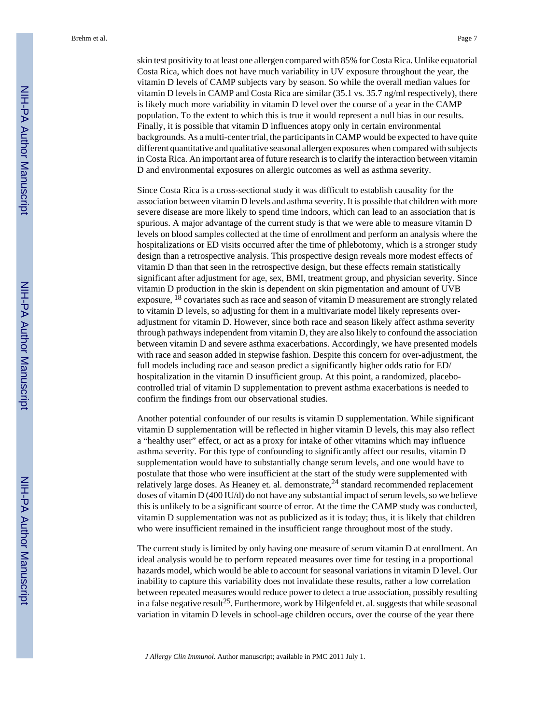Brehm et al. Page 7

skin test positivity to at least one allergen compared with 85% for Costa Rica. Unlike equatorial Costa Rica, which does not have much variability in UV exposure throughout the year, the vitamin D levels of CAMP subjects vary by season. So while the overall median values for vitamin D levels in CAMP and Costa Rica are similar (35.1 vs. 35.7 ng/ml respectively), there is likely much more variability in vitamin D level over the course of a year in the CAMP population. To the extent to which this is true it would represent a null bias in our results. Finally, it is possible that vitamin D influences atopy only in certain environmental backgrounds. As a multi-center trial, the participants in CAMP would be expected to have quite different quantitative and qualitative seasonal allergen exposures when compared with subjects in Costa Rica. An important area of future research is to clarify the interaction between vitamin D and environmental exposures on allergic outcomes as well as asthma severity.

Since Costa Rica is a cross-sectional study it was difficult to establish causality for the association between vitamin D levels and asthma severity. It is possible that children with more severe disease are more likely to spend time indoors, which can lead to an association that is spurious. A major advantage of the current study is that we were able to measure vitamin D levels on blood samples collected at the time of enrollment and perform an analysis where the hospitalizations or ED visits occurred after the time of phlebotomy, which is a stronger study design than a retrospective analysis. This prospective design reveals more modest effects of vitamin D than that seen in the retrospective design, but these effects remain statistically significant after adjustment for age, sex, BMI, treatment group, and physician severity. Since vitamin D production in the skin is dependent on skin pigmentation and amount of UVB exposure, 18 covariates such as race and season of vitamin D measurement are strongly related to vitamin D levels, so adjusting for them in a multivariate model likely represents overadjustment for vitamin D. However, since both race and season likely affect asthma severity through pathways independent from vitamin D, they are also likely to confound the association between vitamin D and severe asthma exacerbations. Accordingly, we have presented models with race and season added in stepwise fashion. Despite this concern for over-adjustment, the full models including race and season predict a significantly higher odds ratio for ED/ hospitalization in the vitamin D insufficient group. At this point, a randomized, placebocontrolled trial of vitamin D supplementation to prevent asthma exacerbations is needed to confirm the findings from our observational studies.

Another potential confounder of our results is vitamin D supplementation. While significant vitamin D supplementation will be reflected in higher vitamin D levels, this may also reflect a "healthy user" effect, or act as a proxy for intake of other vitamins which may influence asthma severity. For this type of confounding to significantly affect our results, vitamin D supplementation would have to substantially change serum levels, and one would have to postulate that those who were insufficient at the start of the study were supplemented with relatively large doses. As Heaney et. al. demonstrate,  $24$  standard recommended replacement doses of vitamin D (400 IU/d) do not have any substantial impact of serum levels, so we believe this is unlikely to be a significant source of error. At the time the CAMP study was conducted, vitamin D supplementation was not as publicized as it is today; thus, it is likely that children who were insufficient remained in the insufficient range throughout most of the study.

The current study is limited by only having one measure of serum vitamin D at enrollment. An ideal analysis would be to perform repeated measures over time for testing in a proportional hazards model, which would be able to account for seasonal variations in vitamin D level. Our inability to capture this variability does not invalidate these results, rather a low correlation between repeated measures would reduce power to detect a true association, possibly resulting in a false negative result<sup>25</sup>. Furthermore, work by Hilgenfeld et. al. suggests that while seasonal variation in vitamin D levels in school-age children occurs, over the course of the year there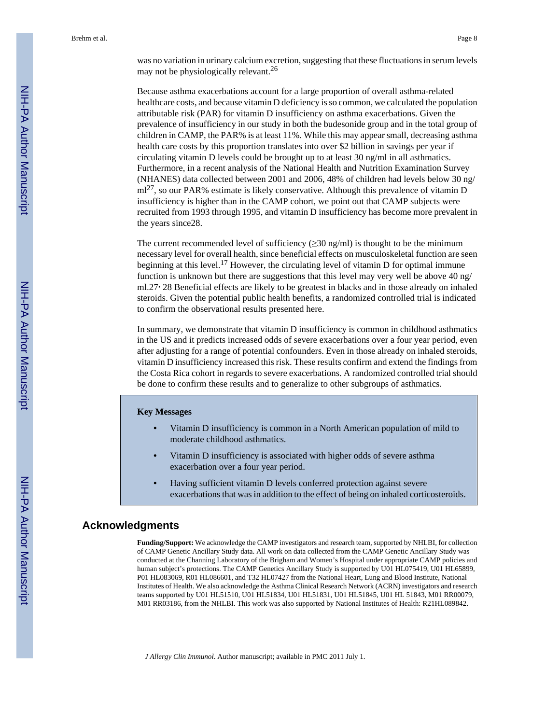was no variation in urinary calcium excretion, suggesting that these fluctuations in serum levels may not be physiologically relevant.<sup>26</sup>

Because asthma exacerbations account for a large proportion of overall asthma-related healthcare costs, and because vitamin D deficiency is so common, we calculated the population attributable risk (PAR) for vitamin D insufficiency on asthma exacerbations. Given the prevalence of insufficiency in our study in both the budesonide group and in the total group of children in CAMP, the PAR% is at least 11%. While this may appear small, decreasing asthma health care costs by this proportion translates into over \$2 billion in savings per year if circulating vitamin D levels could be brought up to at least 30 ng/ml in all asthmatics. Furthermore, in a recent analysis of the National Health and Nutrition Examination Survey (NHANES) data collected between 2001 and 2006, 48% of children had levels below 30 ng/  $\text{m}^{27}$ , so our PAR% estimate is likely conservative. Although this prevalence of vitamin D insufficiency is higher than in the CAMP cohort, we point out that CAMP subjects were recruited from 1993 through 1995, and vitamin D insufficiency has become more prevalent in the years since28.

The current recommended level of sufficiency ( $\geq$ 30 ng/ml) is thought to be the minimum necessary level for overall health, since beneficial effects on musculoskeletal function are seen beginning at this level.<sup>17</sup> However, the circulating level of vitamin D for optimal immune function is unknown but there are suggestions that this level may very well be above 40 ng/ ml.27, 28 Beneficial effects are likely to be greatest in blacks and in those already on inhaled steroids. Given the potential public health benefits, a randomized controlled trial is indicated to confirm the observational results presented here.

In summary, we demonstrate that vitamin D insufficiency is common in childhood asthmatics in the US and it predicts increased odds of severe exacerbations over a four year period, even after adjusting for a range of potential confounders. Even in those already on inhaled steroids, vitamin D insufficiency increased this risk. These results confirm and extend the findings from the Costa Rica cohort in regards to severe exacerbations. A randomized controlled trial should be done to confirm these results and to generalize to other subgroups of asthmatics.

#### **Key Messages**

- **•** Vitamin D insufficiency is common in a North American population of mild to moderate childhood asthmatics.
- **•** Vitamin D insufficiency is associated with higher odds of severe asthma exacerbation over a four year period.
- **•** Having sufficient vitamin D levels conferred protection against severe exacerbations that was in addition to the effect of being on inhaled corticosteroids.

#### **Acknowledgments**

**Funding/Support:** We acknowledge the CAMP investigators and research team, supported by NHLBI, for collection of CAMP Genetic Ancillary Study data. All work on data collected from the CAMP Genetic Ancillary Study was conducted at the Channing Laboratory of the Brigham and Women's Hospital under appropriate CAMP policies and human subject's protections. The CAMP Genetics Ancillary Study is supported by U01 HL075419, U01 HL65899, P01 HL083069, R01 HL086601, and T32 HL07427 from the National Heart, Lung and Blood Institute, National Institutes of Health. We also acknowledge the Asthma Clinical Research Network (ACRN) investigators and research teams supported by U01 HL51510, U01 HL51834, U01 HL51831, U01 HL51845, U01 HL 51843, M01 RR00079, M01 RR03186, from the NHLBI. This work was also supported by National Institutes of Health: R21HL089842.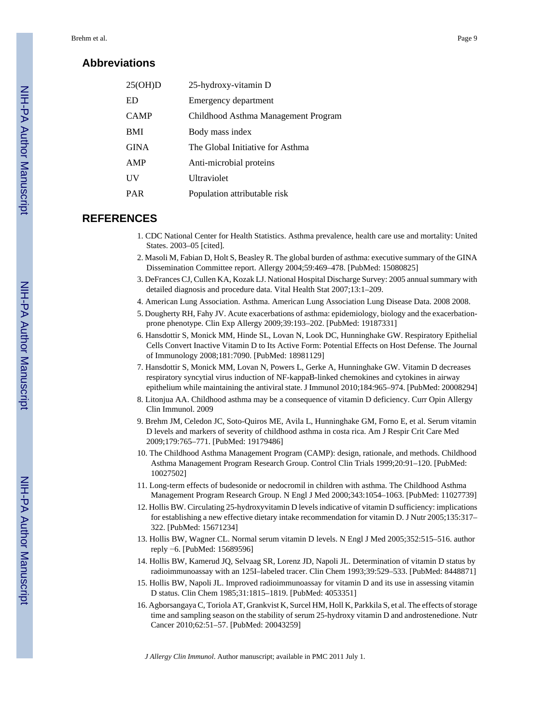#### **Abbreviations**

| 25(OH)D     | 25-hydroxy-vitamin D                |
|-------------|-------------------------------------|
| ED          | Emergency department                |
| <b>CAMP</b> | Childhood Asthma Management Program |
| <b>BMI</b>  | Body mass index                     |
| <b>GINA</b> | The Global Initiative for Asthma    |
| AMP         | Anti-microbial proteins             |
| UV          | Ultraviolet                         |
| <b>PAR</b>  | Population attributable risk        |

#### **REFERENCES**

- 1. CDC National Center for Health Statistics. Asthma prevalence, health care use and mortality: United States. 2003–05 [cited].
- 2. Masoli M, Fabian D, Holt S, Beasley R. The global burden of asthma: executive summary of the GINA Dissemination Committee report. Allergy 2004;59:469–478. [PubMed: 15080825]
- 3. DeFrances CJ, Cullen KA, Kozak LJ. National Hospital Discharge Survey: 2005 annual summary with detailed diagnosis and procedure data. Vital Health Stat 2007;13:1–209.
- 4. American Lung Association. Asthma. American Lung Association Lung Disease Data. 2008 2008.
- 5. Dougherty RH, Fahy JV. Acute exacerbations of asthma: epidemiology, biology and the exacerbationprone phenotype. Clin Exp Allergy 2009;39:193–202. [PubMed: 19187331]
- 6. Hansdottir S, Monick MM, Hinde SL, Lovan N, Look DC, Hunninghake GW. Respiratory Epithelial Cells Convert Inactive Vitamin D to Its Active Form: Potential Effects on Host Defense. The Journal of Immunology 2008;181:7090. [PubMed: 18981129]
- 7. Hansdottir S, Monick MM, Lovan N, Powers L, Gerke A, Hunninghake GW. Vitamin D decreases respiratory syncytial virus induction of NF-kappaB-linked chemokines and cytokines in airway epithelium while maintaining the antiviral state. J Immunol 2010;184:965–974. [PubMed: 20008294]
- 8. Litonjua AA. Childhood asthma may be a consequence of vitamin D deficiency. Curr Opin Allergy Clin Immunol. 2009
- 9. Brehm JM, Celedon JC, Soto-Quiros ME, Avila L, Hunninghake GM, Forno E, et al. Serum vitamin D levels and markers of severity of childhood asthma in costa rica. Am J Respir Crit Care Med 2009;179:765–771. [PubMed: 19179486]
- 10. The Childhood Asthma Management Program (CAMP): design, rationale, and methods. Childhood Asthma Management Program Research Group. Control Clin Trials 1999;20:91–120. [PubMed: 10027502]
- 11. Long-term effects of budesonide or nedocromil in children with asthma. The Childhood Asthma Management Program Research Group. N Engl J Med 2000;343:1054–1063. [PubMed: 11027739]
- 12. Hollis BW. Circulating 25-hydroxyvitamin D levels indicative of vitamin D sufficiency: implications for establishing a new effective dietary intake recommendation for vitamin D. J Nutr 2005;135:317– 322. [PubMed: 15671234]
- 13. Hollis BW, Wagner CL. Normal serum vitamin D levels. N Engl J Med 2005;352:515–516. author reply −6. [PubMed: 15689596]
- 14. Hollis BW, Kamerud JQ, Selvaag SR, Lorenz JD, Napoli JL. Determination of vitamin D status by radioimmunoassay with an 125I–labeled tracer. Clin Chem 1993;39:529–533. [PubMed: 8448871]
- 15. Hollis BW, Napoli JL. Improved radioimmunoassay for vitamin D and its use in assessing vitamin D status. Clin Chem 1985;31:1815–1819. [PubMed: 4053351]
- 16. Agborsangaya C, Toriola AT, Grankvist K, Surcel HM, Holl K, Parkkila S, et al. The effects of storage time and sampling season on the stability of serum 25-hydroxy vitamin D and androstenedione. Nutr Cancer 2010;62:51–57. [PubMed: 20043259]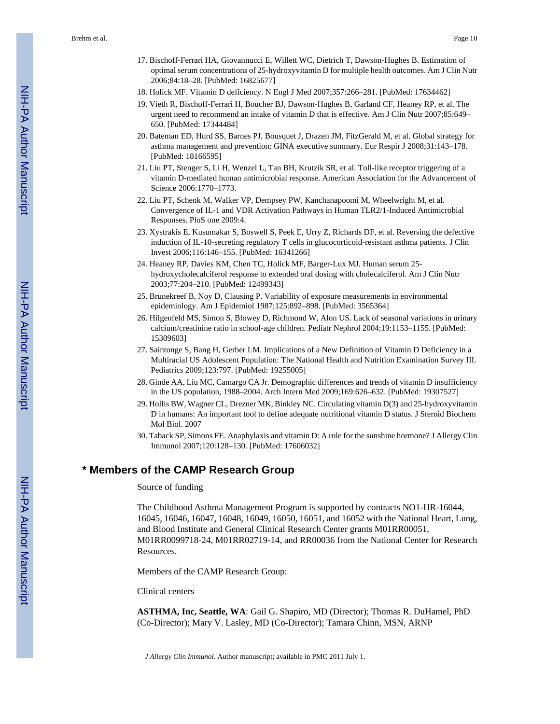- 17. Bischoff-Ferrari HA, Giovannucci E, Willett WC, Dietrich T, Dawson-Hughes B. Estimation of optimal serum concentrations of 25-hydroxyvitamin D for multiple health outcomes. Am J Clin Nutr 2006;84:18–28. [PubMed: 16825677]
- 18. Holick MF. Vitamin D deficiency. N Engl J Med 2007;357:266–281. [PubMed: 17634462]
- 19. Vieth R, Bischoff-Ferrari H, Boucher BJ, Dawson-Hughes B, Garland CF, Heaney RP, et al. The urgent need to recommend an intake of vitamin D that is effective. Am J Clin Nutr 2007;85:649– 650. [PubMed: 17344484]
- 20. Bateman ED, Hurd SS, Barnes PJ, Bousquet J, Drazen JM, FitzGerald M, et al. Global strategy for asthma management and prevention: GINA executive summary. Eur Respir J 2008;31:143–178. [PubMed: 18166595]
- 21. Liu PT, Stenger S, Li H, Wenzel L, Tan BH, Krutzik SR, et al. Toll-like receptor triggering of a vitamin D-mediated human antimicrobial response. American Association for the Advancement of Science 2006:1770–1773.
- 22. Liu PT, Schenk M, Walker VP, Dempsey PW, Kanchanapoomi M, Wheelwright M, et al. Convergence of IL-1 and VDR Activation Pathways in Human TLR2/1-Induced Antimicrobial Responses. PloS one 2009:4.
- 23. Xystrakis E, Kusumakar S, Boswell S, Peek E, Urry Z, Richards DF, et al. Reversing the defective induction of IL-10-secreting regulatory T cells in glucocorticoid-resistant asthma patients. J Clin Invest 2006;116:146–155. [PubMed: 16341266]
- 24. Heaney RP, Davies KM, Chen TC, Holick MF, Barger-Lux MJ. Human serum 25 hydroxycholecalciferol response to extended oral dosing with cholecalciferol. Am J Clin Nutr 2003;77:204–210. [PubMed: 12499343]
- 25. Brunekreef B, Noy D, Clausing P. Variability of exposure measurements in environmental epidemiology. Am J Epidemiol 1987;125:892–898. [PubMed: 3565364]
- 26. Hilgenfeld MS, Simon S, Blowey D, Richmond W, Alon US. Lack of seasonal variations in urinary calcium/creatinine ratio in school-age children. Pediatr Nephrol 2004;19:1153–1155. [PubMed: 15309603]
- 27. Saintonge S, Bang H, Gerber LM. Implications of a New Definition of Vitamin D Deficiency in a Multiracial US Adolescent Population: The National Health and Nutrition Examination Survey III. Pediatrics 2009;123:797. [PubMed: 19255005]
- 28. Ginde AA, Liu MC, Camargo CA Jr. Demographic differences and trends of vitamin D insufficiency in the US population, 1988–2004. Arch Intern Med 2009;169:626–632. [PubMed: 19307527]
- 29. Hollis BW, Wagner CL, Drezner MK, Binkley NC. Circulating vitamin D(3) and 25-hydroxyvitamin D in humans: An important tool to define adequate nutritional vitamin D status. J Steroid Biochem Mol Biol. 2007
- 30. Taback SP, Simons FE. Anaphylaxis and vitamin D: A role for the sunshine hormone? J Allergy Clin Immunol 2007;120:128–130. [PubMed: 17606032]

#### **\* Members of the CAMP Research Group**

#### Source of funding

The Childhood Asthma Management Program is supported by contracts NO1-HR-16044, 16045, 16046, 16047, 16048, 16049, 16050, 16051, and 16052 with the National Heart, Lung, and Blood Institute and General Clinical Research Center grants M01RR00051, M01RR0099718-24, M01RR02719-14, and RR00036 from the National Center for Research Resources.

Members of the CAMP Research Group:

Clinical centers

**ASTHMA, Inc, Seattle, WA**: Gail G. Shapiro, MD (Director); Thomas R. DuHamel, PhD (Co-Director); Mary V. Lasley, MD (Co-Director); Tamara Chinn, MSN, ARNP

*J Allergy Clin Immunol*. Author manuscript; available in PMC 2011 July 1.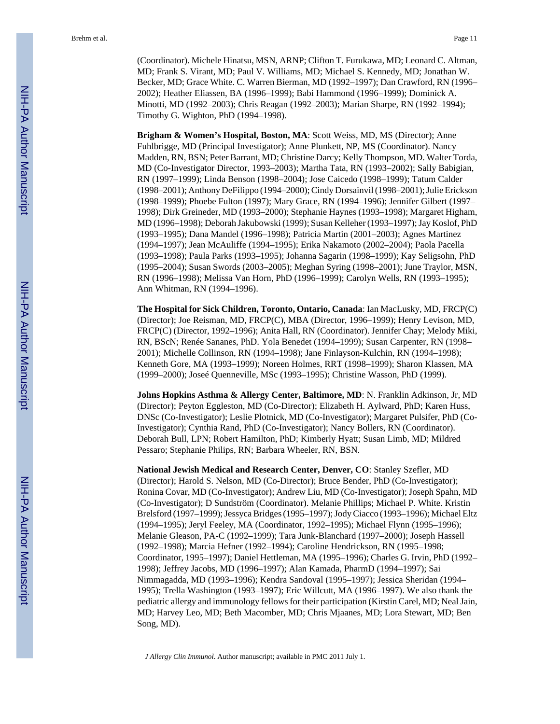(Coordinator). Michele Hinatsu, MSN, ARNP; Clifton T. Furukawa, MD; Leonard C. Altman, MD; Frank S. Virant, MD; Paul V. Williams, MD; Michael S. Kennedy, MD; Jonathan W. Becker, MD; Grace White. C. Warren Bierman, MD (1992–1997); Dan Crawford, RN (1996– 2002); Heather Eliassen, BA (1996–1999); Babi Hammond (1996–1999); Dominick A. Minotti, MD (1992–2003); Chris Reagan (1992–2003); Marian Sharpe, RN (1992–1994); Timothy G. Wighton, PhD (1994–1998).

**Brigham & Women's Hospital, Boston, MA**: Scott Weiss, MD, MS (Director); Anne Fuhlbrigge, MD (Principal Investigator); Anne Plunkett, NP, MS (Coordinator). Nancy Madden, RN, BSN; Peter Barrant, MD; Christine Darcy; Kelly Thompson, MD. Walter Torda, MD (Co-Investigator Director, 1993–2003); Martha Tata, RN (1993–2002); Sally Babigian, RN (1997–1999); Linda Benson (1998–2004); Jose Caicedo (1998–1999); Tatum Calder (1998–2001); Anthony DeFilippo (1994–2000); Cindy Dorsainvil (1998–2001); Julie Erickson (1998–1999); Phoebe Fulton (1997); Mary Grace, RN (1994–1996); Jennifer Gilbert (1997– 1998); Dirk Greineder, MD (1993–2000); Stephanie Haynes (1993–1998); Margaret Higham, MD (1996–1998); Deborah Jakubowski (1999); Susan Kelleher (1993–1997); Jay Koslof, PhD (1993–1995); Dana Mandel (1996–1998); Patricia Martin (2001–2003); Agnes Martinez (1994–1997); Jean McAuliffe (1994–1995); Erika Nakamoto (2002–2004); Paola Pacella (1993–1998); Paula Parks (1993–1995); Johanna Sagarin (1998–1999); Kay Seligsohn, PhD (1995–2004); Susan Swords (2003–2005); Meghan Syring (1998–2001); June Traylor, MSN, RN (1996–1998); Melissa Van Horn, PhD (1996–1999); Carolyn Wells, RN (1993–1995); Ann Whitman, RN (1994–1996).

**The Hospital for Sick Children, Toronto, Ontario, Canada**: Ian MacLusky, MD, FRCP(C) (Director); Joe Reisman, MD, FRCP(C), MBA (Director, 1996–1999); Henry Levison, MD, FRCP(C) (Director, 1992–1996); Anita Hall, RN (Coordinator). Jennifer Chay; Melody Miki, RN, BScN; Renée Sananes, PhD. Yola Benedet (1994–1999); Susan Carpenter, RN (1998– 2001); Michelle Collinson, RN (1994–1998); Jane Finlayson-Kulchin, RN (1994–1998); Kenneth Gore, MA (1993–1999); Noreen Holmes, RRT (1998–1999); Sharon Klassen, MA (1999–2000); Joseé Quenneville, MSc (1993–1995); Christine Wasson, PhD (1999).

**Johns Hopkins Asthma & Allergy Center, Baltimore, MD**: N. Franklin Adkinson, Jr, MD (Director); Peyton Eggleston, MD (Co-Director); Elizabeth H. Aylward, PhD; Karen Huss, DNSc (Co-Investigator); Leslie Plotnick, MD (Co-Investigator); Margaret Pulsifer, PhD (Co-Investigator); Cynthia Rand, PhD (Co-Investigator); Nancy Bollers, RN (Coordinator). Deborah Bull, LPN; Robert Hamilton, PhD; Kimberly Hyatt; Susan Limb, MD; Mildred Pessaro; Stephanie Philips, RN; Barbara Wheeler, RN, BSN.

**National Jewish Medical and Research Center, Denver, CO**: Stanley Szefler, MD (Director); Harold S. Nelson, MD (Co-Director); Bruce Bender, PhD (Co-Investigator); Ronina Covar, MD (Co-Investigator); Andrew Liu, MD (Co-Investigator); Joseph Spahn, MD (Co-Investigator); D Sundström (Coordinator). Melanie Phillips; Michael P. White. Kristin Brelsford (1997–1999); Jessyca Bridges (1995–1997); Jody Ciacco (1993–1996); Michael Eltz (1994–1995); Jeryl Feeley, MA (Coordinator, 1992–1995); Michael Flynn (1995–1996); Melanie Gleason, PA-C (1992–1999); Tara Junk-Blanchard (1997–2000); Joseph Hassell (1992–1998); Marcia Hefner (1992–1994); Caroline Hendrickson, RN (1995–1998; Coordinator, 1995–1997); Daniel Hettleman, MA (1995–1996); Charles G. Irvin, PhD (1992– 1998); Jeffrey Jacobs, MD (1996–1997); Alan Kamada, PharmD (1994–1997); Sai Nimmagadda, MD (1993–1996); Kendra Sandoval (1995–1997); Jessica Sheridan (1994– 1995); Trella Washington (1993–1997); Eric Willcutt, MA (1996–1997). We also thank the pediatric allergy and immunology fellows for their participation (Kirstin Carel, MD; Neal Jain, MD; Harvey Leo, MD; Beth Macomber, MD; Chris Mjaanes, MD; Lora Stewart, MD; Ben Song, MD).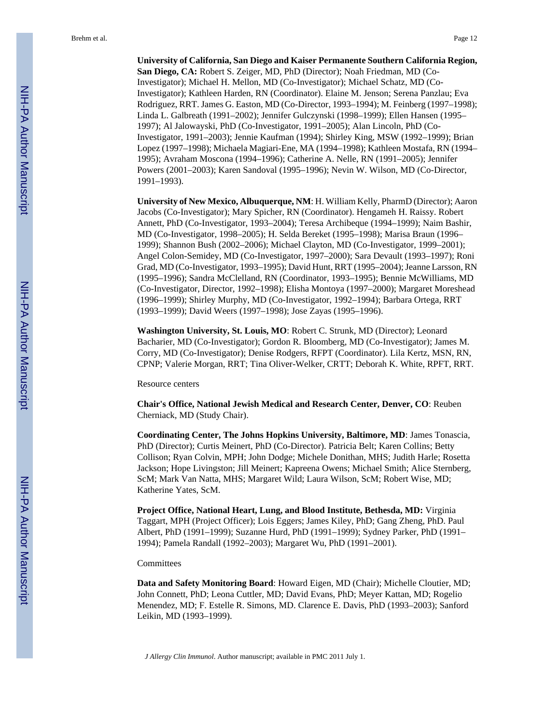**University of California, San Diego and Kaiser Permanente Southern California Region, San Diego, CA:** Robert S. Zeiger, MD, PhD (Director); Noah Friedman, MD (Co-Investigator); Michael H. Mellon, MD (Co-Investigator); Michael Schatz, MD (Co-Investigator); Kathleen Harden, RN (Coordinator). Elaine M. Jenson; Serena Panzlau; Eva Rodriguez, RRT. James G. Easton, MD (Co-Director, 1993–1994); M. Feinberg (1997–1998); Linda L. Galbreath (1991–2002); Jennifer Gulczynski (1998–1999); Ellen Hansen (1995– 1997); Al Jalowayski, PhD (Co-Investigator, 1991–2005); Alan Lincoln, PhD (Co-Investigator, 1991–2003); Jennie Kaufman (1994); Shirley King, MSW (1992–1999); Brian Lopez (1997–1998); Michaela Magiari-Ene, MA (1994–1998); Kathleen Mostafa, RN (1994– 1995); Avraham Moscona (1994–1996); Catherine A. Nelle, RN (1991–2005); Jennifer Powers (2001–2003); Karen Sandoval (1995–1996); Nevin W. Wilson, MD (Co-Director, 1991–1993).

**University of New Mexico, Albuquerque, NM**: H. William Kelly, PharmD (Director); Aaron Jacobs (Co-Investigator); Mary Spicher, RN (Coordinator). Hengameh H. Raissy. Robert Annett, PhD (Co-Investigator, 1993–2004); Teresa Archibeque (1994–1999); Naim Bashir, MD (Co-Investigator, 1998–2005); H. Selda Bereket (1995–1998); Marisa Braun (1996– 1999); Shannon Bush (2002–2006); Michael Clayton, MD (Co-Investigator, 1999–2001); Angel Colon-Semidey, MD (Co-Investigator, 1997–2000); Sara Devault (1993–1997); Roni Grad, MD (Co-Investigator, 1993–1995); David Hunt, RRT (1995–2004); Jeanne Larsson, RN (1995–1996); Sandra McClelland, RN (Coordinator, 1993–1995); Bennie McWilliams, MD (Co-Investigator, Director, 1992–1998); Elisha Montoya (1997–2000); Margaret Moreshead (1996–1999); Shirley Murphy, MD (Co-Investigator, 1992–1994); Barbara Ortega, RRT (1993–1999); David Weers (1997–1998); Jose Zayas (1995–1996).

**Washington University, St. Louis, MO**: Robert C. Strunk, MD (Director); Leonard Bacharier, MD (Co-Investigator); Gordon R. Bloomberg, MD (Co-Investigator); James M. Corry, MD (Co-Investigator); Denise Rodgers, RFPT (Coordinator). Lila Kertz, MSN, RN, CPNP; Valerie Morgan, RRT; Tina Oliver-Welker, CRTT; Deborah K. White, RPFT, RRT.

Resource centers

**Chair's Office, National Jewish Medical and Research Center, Denver, CO**: Reuben Cherniack, MD (Study Chair).

**Coordinating Center, The Johns Hopkins University, Baltimore, MD**: James Tonascia, PhD (Director); Curtis Meinert, PhD (Co-Director). Patricia Belt; Karen Collins; Betty Collison; Ryan Colvin, MPH; John Dodge; Michele Donithan, MHS; Judith Harle; Rosetta Jackson; Hope Livingston; Jill Meinert; Kapreena Owens; Michael Smith; Alice Sternberg, ScM; Mark Van Natta, MHS; Margaret Wild; Laura Wilson, ScM; Robert Wise, MD; Katherine Yates, ScM.

**Project Office, National Heart, Lung, and Blood Institute, Bethesda, MD:** Virginia Taggart, MPH (Project Officer); Lois Eggers; James Kiley, PhD; Gang Zheng, PhD. Paul Albert, PhD (1991–1999); Suzanne Hurd, PhD (1991–1999); Sydney Parker, PhD (1991– 1994); Pamela Randall (1992–2003); Margaret Wu, PhD (1991–2001).

#### **Committees**

**Data and Safety Monitoring Board**: Howard Eigen, MD (Chair); Michelle Cloutier, MD; John Connett, PhD; Leona Cuttler, MD; David Evans, PhD; Meyer Kattan, MD; Rogelio Menendez, MD; F. Estelle R. Simons, MD. Clarence E. Davis, PhD (1993–2003); Sanford Leikin, MD (1993–1999).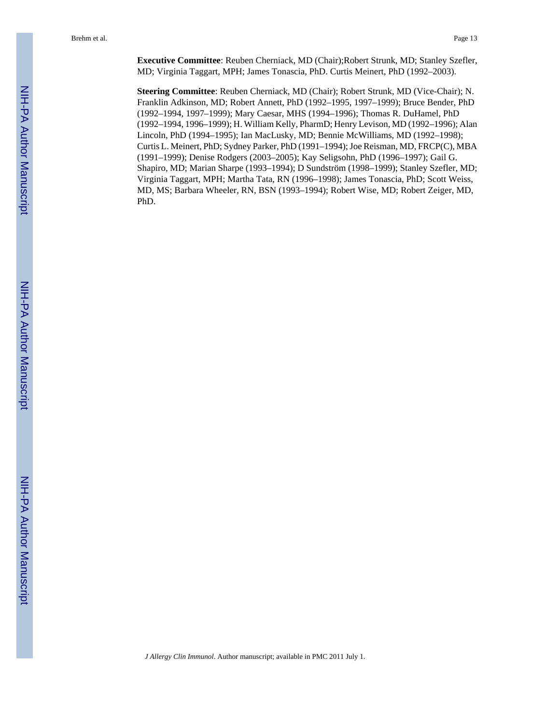**Executive Committee**: Reuben Cherniack, MD (Chair);Robert Strunk, MD; Stanley Szefler, MD; Virginia Taggart, MPH; James Tonascia, PhD. Curtis Meinert, PhD (1992–2003).

**Steering Committee**: Reuben Cherniack, MD (Chair); Robert Strunk, MD (Vice-Chair); N. Franklin Adkinson, MD; Robert Annett, PhD (1992–1995, 1997–1999); Bruce Bender, PhD (1992–1994, 1997–1999); Mary Caesar, MHS (1994–1996); Thomas R. DuHamel, PhD (1992–1994, 1996–1999); H. William Kelly, PharmD; Henry Levison, MD (1992–1996); Alan Lincoln, PhD (1994–1995); Ian MacLusky, MD; Bennie McWilliams, MD (1992–1998); Curtis L. Meinert, PhD; Sydney Parker, PhD (1991–1994); Joe Reisman, MD, FRCP(C), MBA (1991–1999); Denise Rodgers (2003–2005); Kay Seligsohn, PhD (1996–1997); Gail G. Shapiro, MD; Marian Sharpe (1993–1994); D Sundström (1998–1999); Stanley Szefler, MD; Virginia Taggart, MPH; Martha Tata, RN (1996–1998); James Tonascia, PhD; Scott Weiss, MD, MS; Barbara Wheeler, RN, BSN (1993–1994); Robert Wise, MD; Robert Zeiger, MD, PhD.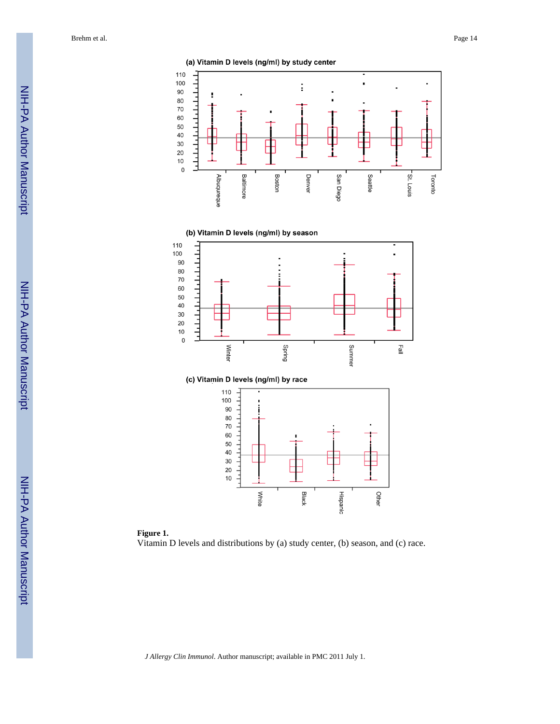Brehm et al. Page 14



(b) Vitamin D levels (ng/ml) by season





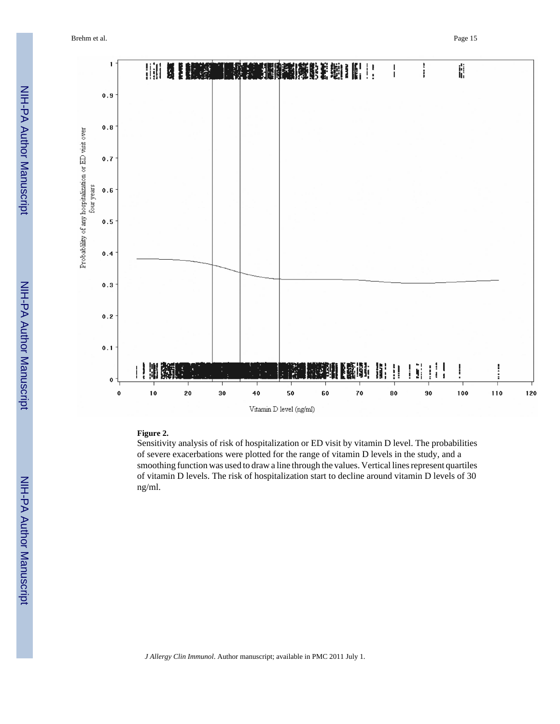Brehm et al. Page 15



#### **Figure 2.**

Sensitivity analysis of risk of hospitalization or ED visit by vitamin D level. The probabilities of severe exacerbations were plotted for the range of vitamin D levels in the study, and a smoothing function was used to draw a line through the values. Vertical lines represent quartiles of vitamin D levels. The risk of hospitalization start to decline around vitamin D levels of 30 ng/ml.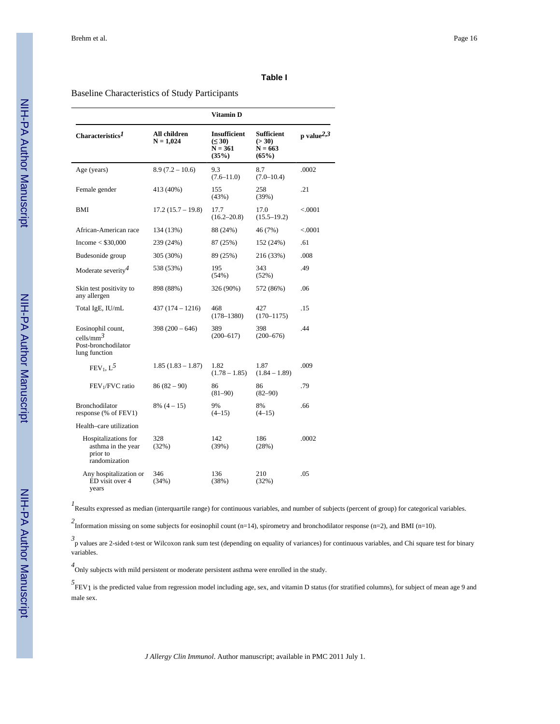#### **Table I**

#### Baseline Characteristics of Study Participants

|                                                                            |                             | Vitamin D                                         |                                                   |                        |
|----------------------------------------------------------------------------|-----------------------------|---------------------------------------------------|---------------------------------------------------|------------------------|
| Characteristics <sup>1</sup>                                               | All children<br>$N = 1,024$ | Insufficient<br>$(\leq 30)$<br>$N = 361$<br>(35%) | <b>Sufficient</b><br>(> 30)<br>$N = 663$<br>(65%) | p value <sup>2,3</sup> |
| Age (years)                                                                | $8.9(7.2 - 10.6)$           | 9.3<br>$(7.6 - 11.0)$                             | 8.7<br>$(7.0 - 10.4)$                             | .0002                  |
| Female gender                                                              | 413 (40%)                   | 155<br>(43%)                                      | 258<br>(39%)                                      | .21                    |
| <b>BMI</b>                                                                 | $17.2(15.7 - 19.8)$         | 17.7<br>$(16.2 - 20.8)$                           | 17.0<br>$(15.5 - 19.2)$                           | < 0.001                |
| African-American race                                                      | 134 (13%)                   | 88 (24%)                                          | 46 (7%)                                           | < 0.0001               |
| Income $<$ \$30,000                                                        | 239 (24%)                   | 87 (25%)                                          | 152 (24%)                                         | .61                    |
| Budesonide group                                                           | 305 (30%)                   | 89 (25%)                                          | 216 (33%)                                         | .008                   |
| Moderate severity <sup>4</sup>                                             | 538 (53%)                   | 195<br>(54%)                                      | 343<br>(52%)                                      | .49                    |
| Skin test positivity to<br>any allergen                                    | 898 (88%)                   | 326 (90%)                                         | 572 (86%)                                         | .06                    |
| Total IgE, IU/mL                                                           | 437 (174 – 1216)            | 468<br>$(178 - 1380)$                             | 427<br>$(170 - 1175)$                             | .15                    |
| Eosinophil count,<br>cells/ $mm^3$<br>Post-bronchodilator<br>lung function | $398(200 - 646)$            | 389<br>$(200 - 617)$                              | 398<br>$(200 - 676)$                              | .44                    |
| $FEV_1, L^5$                                                               | $1.85(1.83 - 1.87)$         | 1.82<br>$(1.78 - 1.85)$                           | 1.87<br>$(1.84 - 1.89)$                           | .009                   |
| FEV <sub>1</sub> /FVC ratio                                                | $86(82-90)$                 | 86<br>$(81-90)$                                   | 86<br>$(82 - 90)$                                 | .79                    |
| <b>Bronchodilator</b><br>response (% of FEV1)                              | $8\%$ (4 – 15)              | 9%<br>$(4-15)$                                    | 8%<br>$(4-15)$                                    | .66                    |
| Health-care utilization                                                    |                             |                                                   |                                                   |                        |
| Hospitalizations for<br>asthma in the year<br>prior to<br>randomization    | 328<br>(32%)                | 142<br>(39%)                                      | 186<br>(28%)                                      | .0002                  |
| Any hospitalization or<br>ED visit over 4<br>years                         | 346<br>(34%)                | 136<br>(38%)                                      | 210<br>(32%)                                      | .05                    |

*1* Results expressed as median (interquartile range) for continuous variables, and number of subjects (percent of group) for categorical variables.

*2* Information missing on some subjects for eosinophil count (n=14), spirometry and bronchodilator response (n=2), and BMI (n=10).

*3* p values are 2-sided t-test or Wilcoxon rank sum test (depending on equality of variances) for continuous variables, and Chi square test for binary variables.

*4* Only subjects with mild persistent or moderate persistent asthma were enrolled in the study.

<sup>5</sup> FEV<sub>1</sub> is the predicted value from regression model including age, sex, and vitamin D status (for stratified columns), for subject of mean age 9 and male sex.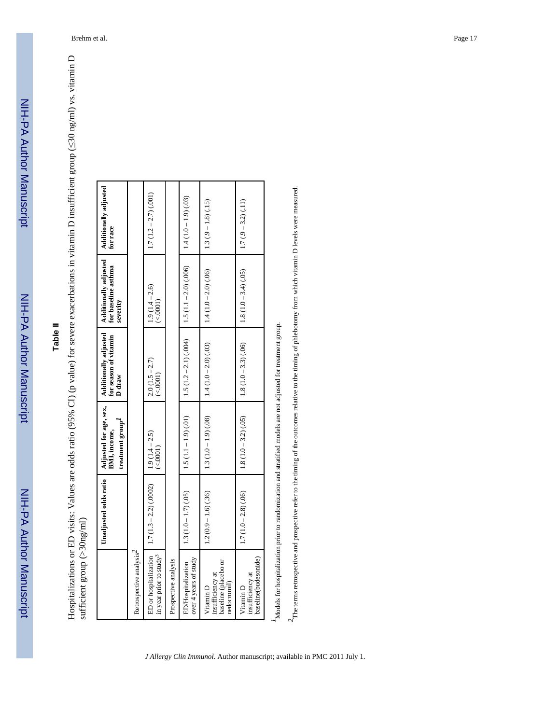# **Table II**

Hospitalizations or ED visits: Values are odds ratio (95% CI) (p value) for severe exacerbations in vitamin D insufficient group ( $\leq$ 30 ng/ml) vs. vitamin D ≤30 ng/ml) vs. vitamin D Hospitalizations or ED visits: Values are odds ratio (95% CI) (p value) for severe exacerbations in vitamin D insufficient group ( sufficient group (>30ng/ml) sufficient group (>30ng/ml)

| $1.5(1.1 - 1.9)(.01)$<br>$1.3(1.0-1.9)(0.08)$<br>$1.8(1.0-3.2)(0.05)$<br>$1.9(1.4 - 2.5)$<br>(<.0001)<br>$1.7(1.3-2.2)(0.0002)$<br>$1.3(1.0-1.7)(.05)$<br>$1.2(0.9 - 1.6)(.36)$<br>$1.7(1.0-2.8)(.06)$<br>Retrospective analysis <sup>2</sup><br>ED or hospitalization<br>in year prior to study <sup>3</sup><br>over 4 years of study<br>Prospective analysis<br>baseline (placebo or<br><b>ED/Hospitalization</b><br>insufficiency at<br>nedocromil<br>Vitamin D<br>Vitamin D | Adjusted for age, sex,<br>BML, income,<br>treatment group <sup>-1</sup><br>Unadjusted odds ratio | Additionally adjusted<br>for season of vitamin<br>D draw | Additionally adjusted<br>for baseline asthma<br>severity | Additionally adjusted<br>for race |
|---------------------------------------------------------------------------------------------------------------------------------------------------------------------------------------------------------------------------------------------------------------------------------------------------------------------------------------------------------------------------------------------------------------------------------------------------------------------------------|--------------------------------------------------------------------------------------------------|----------------------------------------------------------|----------------------------------------------------------|-----------------------------------|
|                                                                                                                                                                                                                                                                                                                                                                                                                                                                                 |                                                                                                  |                                                          |                                                          |                                   |
|                                                                                                                                                                                                                                                                                                                                                                                                                                                                                 |                                                                                                  | $2.0(1.5 - 2.7)$<br>(<.0001)                             | $1.9(1.4 - 2.6)$<br>(<.0001)                             | $1.7(1.2 - 2.7)(001)$             |
|                                                                                                                                                                                                                                                                                                                                                                                                                                                                                 |                                                                                                  |                                                          |                                                          |                                   |
|                                                                                                                                                                                                                                                                                                                                                                                                                                                                                 |                                                                                                  | $1.5(1.2-2.1)(0.04)$                                     | $1.5(1.1 - 2.0)(0.006)$                                  | $1.4(1.0 - 1.9)(0.03)$            |
|                                                                                                                                                                                                                                                                                                                                                                                                                                                                                 |                                                                                                  | $1.4(1.0-2.0)(.03)$                                      | $1.4(1.0-2.0)(.06)$                                      | $1.3(0.9 - 1.8)(1.5)$             |
| baseline(budesonide)<br>insufficiency at                                                                                                                                                                                                                                                                                                                                                                                                                                        |                                                                                                  | $1.8(1.0-3.3)(.06)$                                      | $1.8(1.0-3.4)(0.05)$                                     | $1.7(0-3.2)(11)$                  |

Models for hospitalization prior to randomization and stratified models are not adjusted for treatment group. *1*Models for hospitalization prior to randomization and stratified models are not adjusted for treatment group.

 $2$  The terms retrospective and prospective refer to the timing of the outcomes relative to the timing of phlebotomy from which vitamin D levels were measured. *2*The terms retrospective and prospective refer to the timing of the outcomes relative to the timing of phlebotomy from which vitamin D levels were measured.